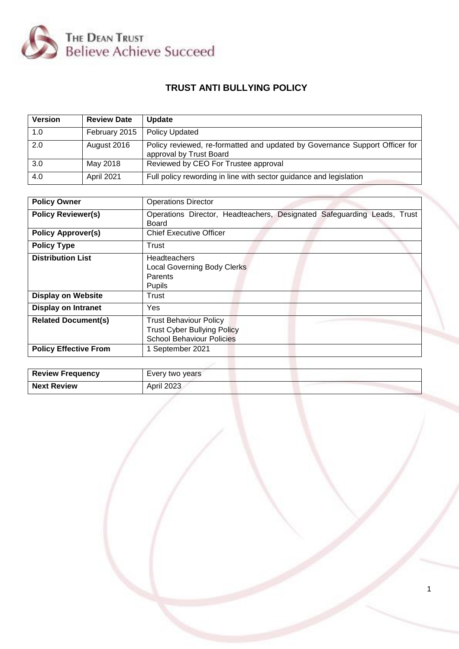

# **TRUST ANTI BULLYING POLICY**

| <b>Version</b> | <b>Review Date</b> | <b>Update</b>                                                                                          |
|----------------|--------------------|--------------------------------------------------------------------------------------------------------|
| 1.0            | February 2015      | <b>Policy Updated</b>                                                                                  |
| 2.0            | August 2016        | Policy reviewed, re-formatted and updated by Governance Support Officer for<br>approval by Trust Board |
| 3.0            | May 2018           | Reviewed by CEO For Trustee approval                                                                   |
| 4.0            | April 2021         | Full policy rewording in line with sector guidance and legislation                                     |

| <b>Policy Owner</b>                                        | <b>Operations Director</b>                                                                                                  |
|------------------------------------------------------------|-----------------------------------------------------------------------------------------------------------------------------|
| <b>Policy Reviewer(s)</b>                                  | Operations Director, Headteachers, Designated Safeguarding Leads, Trust<br>Board                                            |
| <b>Policy Approver(s)</b>                                  | <b>Chief Executive Officer</b>                                                                                              |
| <b>Policy Type</b>                                         | Trust                                                                                                                       |
| <b>Distribution List</b>                                   | <b>Headteachers</b><br><b>Local Governing Body Clerks</b><br>Parents<br>Pupils                                              |
| <b>Display on Website</b>                                  | Trust                                                                                                                       |
| <b>Display on Intranet</b>                                 | Yes                                                                                                                         |
| <b>Related Document(s)</b><br><b>Policy Effective From</b> | <b>Trust Behaviour Policy</b><br><b>Trust Cyber Bullying Policy</b><br><b>School Behaviour Policies</b><br>1 September 2021 |
|                                                            |                                                                                                                             |

| <b>Review Frequency</b> | Every two years |  |
|-------------------------|-----------------|--|
| <b>Next Review</b>      | April 2023      |  |

1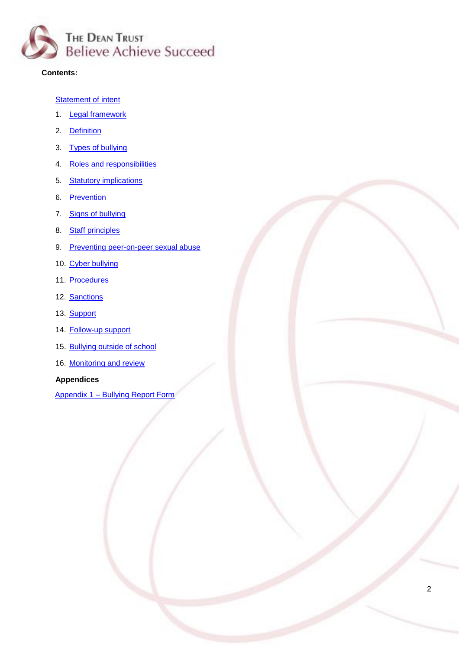

## **Contents:**

## **Statement of intent**

- 1. **Legal framework**
- 2. [Definition](#page-3-0)
- 3. [Types of bullying](#page-3-1)
- 4. [Roles and responsibilities](#page-4-0)
- 5. [Statutory implications](#page-5-0)
- 6. [Prevention](#page-6-0)
- 7. [Signs of bullying](#page-7-0)
- 8. [Staff principles](#page-8-0)
- 9. [Preventing peer-on-peer sexual abuse](#page-8-1)
- 10. [Cyber bullying](#page-10-0)
- 11. [Procedures](#page-11-0)
- 12. [Sanctions](#page-11-1)
- 13. [Support](#page-12-0)
- 14. [Follow-up support](#page-12-1)
- 15. [Bullying outside of school](#page-13-0)
- 16. [Monitoring and review](#page-14-0)

## **Appendices**

Appendix 1 – [Bullying Report Form](#page-14-1)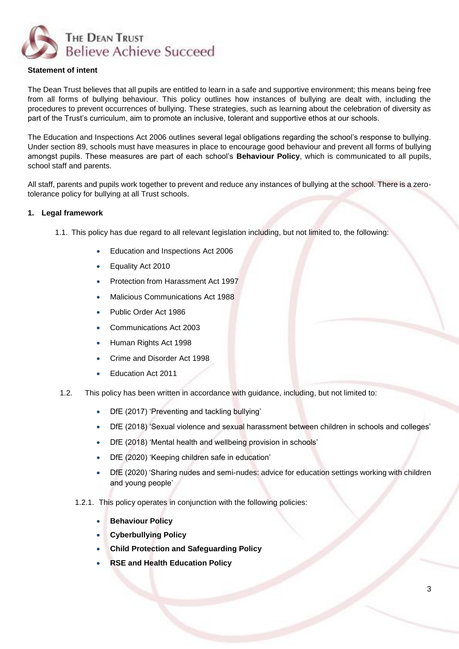

## **Statement of intent**

The Dean Trust believes that all pupils are entitled to learn in a safe and supportive environment; this means being free from all forms of bullying behaviour. This policy outlines how instances of bullying are dealt with, including the procedures to prevent occurrences of bullying. These strategies, such as learning about the celebration of diversity as part of the Trust's curriculum, aim to promote an inclusive, tolerant and supportive ethos at our schools.

The Education and Inspections Act 2006 outlines several legal obligations regarding the school's response to bullying. Under section 89, schools must have measures in place to encourage good behaviour and prevent all forms of bullying amongst pupils. These measures are part of each school's **Behaviour Policy**, which is communicated to all pupils, school staff and parents.

All staff, parents and pupils work together to prevent and reduce any instances of bullying at the school. There is a zerotolerance policy for bullying at all Trust schools.

#### **1. Legal framework**

- 1.1. This policy has due regard to all relevant legislation including, but not limited to, the following:
	- Education and Inspections Act 2006
	- Equality Act 2010
	- Protection from Harassment Act 1997
	- Malicious Communications Act 1988
	- Public Order Act 1986
	- Communications Act 2003
	- Human Rights Act 1998
	- Crime and Disorder Act 1998
	- Education Act 2011
- 1.2. This policy has been written in accordance with guidance, including, but not limited to:
	- DfE (2017) 'Preventing and tackling bullying'
	- DfE (2018) 'Sexual violence and sexual harassment between children in schools and colleges'
	- DfE (2018) 'Mental health and wellbeing provision in schools'
	- DfE (2020) 'Keeping children safe in education'
	- DfE (2020) 'Sharing nudes and semi-nudes: advice for education settings working with children and young people'
	- 1.2.1. This policy operates in conjunction with the following policies:
		- **Behaviour Policy**
		- **Cyberbullying Policy**
		- **Child Protection and Safeguarding Policy**
		- **RSE and Health Education Policy**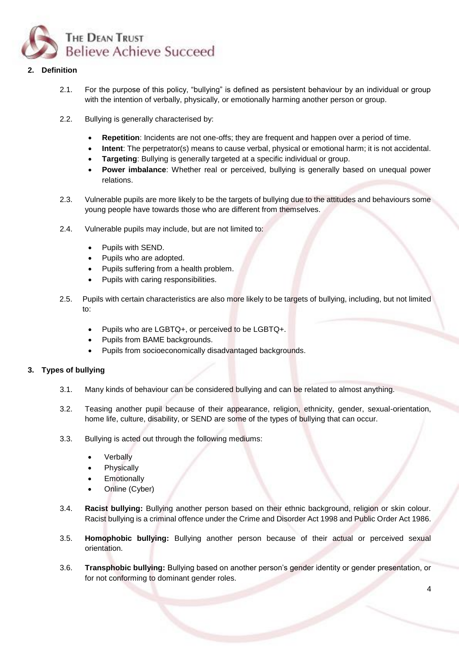

## <span id="page-3-0"></span>**2. Definition**

- 2.1. For the purpose of this policy, "bullying" is defined as persistent behaviour by an individual or group with the intention of verbally, physically, or emotionally harming another person or group.
- 2.2. Bullying is generally characterised by:
	- **Repetition**: Incidents are not one-offs; they are frequent and happen over a period of time.
	- **Intent**: The perpetrator(s) means to cause verbal, physical or emotional harm; it is not accidental.
	- **Targeting**: Bullying is generally targeted at a specific individual or group.
	- **Power imbalance**: Whether real or perceived, bullying is generally based on unequal power relations.
- 2.3. Vulnerable pupils are more likely to be the targets of bullying due to the attitudes and behaviours some young people have towards those who are different from themselves.
- 2.4. Vulnerable pupils may include, but are not limited to:
	- Pupils with SEND.
	- Pupils who are adopted.
	- Pupils suffering from a health problem.
	- Pupils with caring responsibilities.
- 2.5. Pupils with certain characteristics are also more likely to be targets of bullying, including, but not limited to:
	- Pupils who are LGBTQ+, or perceived to be LGBTQ+.
	- Pupils from BAME backgrounds.
	- Pupils from socioeconomically disadvantaged backgrounds.

## <span id="page-3-1"></span>**3. Types of bullying**

- 3.1. Many kinds of behaviour can be considered bullying and can be related to almost anything.
- 3.2. Teasing another pupil because of their appearance, religion, ethnicity, gender, sexual-orientation, home life, culture, disability, or SEND are some of the types of bullying that can occur.
- 3.3. Bullying is acted out through the following mediums:
	- **Verbally**
	- **Physically**
	- **Emotionally**
	- Online (Cyber)
- 3.4. **Racist bullying:** Bullying another person based on their ethnic background, religion or skin colour. Racist bullying is a criminal offence under the Crime and Disorder Act 1998 and Public Order Act 1986.
- 3.5. **Homophobic bullying:** Bullying another person because of their actual or perceived sexual orientation.
- 3.6. **Transphobic bullying:** Bullying based on another person's gender identity or gender presentation, or for not conforming to dominant gender roles.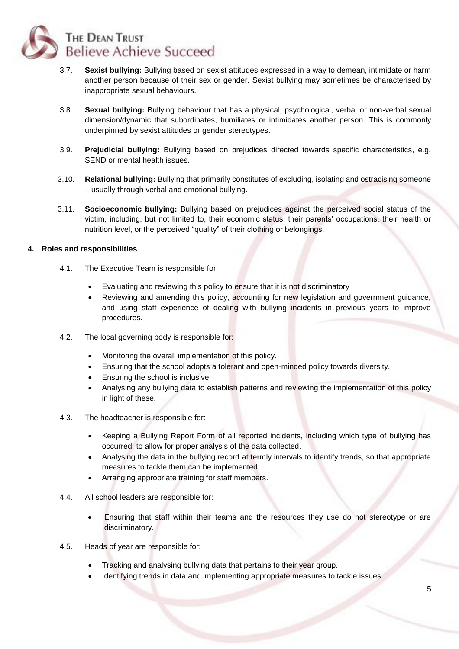

- 3.7. **Sexist bullying:** Bullying based on sexist attitudes expressed in a way to demean, intimidate or harm another person because of their sex or gender. Sexist bullying may sometimes be characterised by inappropriate sexual behaviours.
- 3.8. **Sexual bullying:** Bullying behaviour that has a physical, psychological, verbal or non-verbal sexual dimension/dynamic that subordinates, humiliates or intimidates another person. This is commonly underpinned by sexist attitudes or gender stereotypes.
- 3.9. **Prejudicial bullying:** Bullying based on prejudices directed towards specific characteristics, e.g. SEND or mental health issues.
- 3.10. **Relational bullying:** Bullying that primarily constitutes of excluding, isolating and ostracising someone – usually through verbal and emotional bullying.
- 3.11. **Socioeconomic bullying:** Bullying based on prejudices against the perceived social status of the victim, including, but not limited to, their economic status, their parents' occupations, their health or nutrition level, or the perceived "quality" of their clothing or belongings.

#### <span id="page-4-0"></span>**4. Roles and responsibilities**

- 4.1. The Executive Team is responsible for:
	- Evaluating and reviewing this policy to ensure that it is not discriminatory
	- Reviewing and amending this policy, accounting for new legislation and government guidance, and using staff experience of dealing with bullying incidents in previous years to improve procedures.
- 4.2. The local governing body is responsible for:
	- Monitoring the overall implementation of this policy.
	- Ensuring that the school adopts a tolerant and open-minded policy towards diversity.
	- Ensuring the school is inclusive.
	- Analysing any bullying data to establish patterns and reviewing the implementation of this policy in light of these.
- 4.3. The headteacher is responsible for:
	- Keeping a Bullying Report Form of all reported incidents, including which type of bullying has occurred, to allow for proper analysis of the data collected.
	- Analysing the data in the bullying record at termly intervals to identify trends, so that appropriate measures to tackle them can be implemented.
	- Arranging appropriate training for staff members.
- 4.4. All school leaders are responsible for:
	- Ensuring that staff within their teams and the resources they use do not stereotype or are discriminatory.
- 4.5. Heads of year are responsible for:
	- Tracking and analysing bullying data that pertains to their year group.
	- Identifying trends in data and implementing appropriate measures to tackle issues.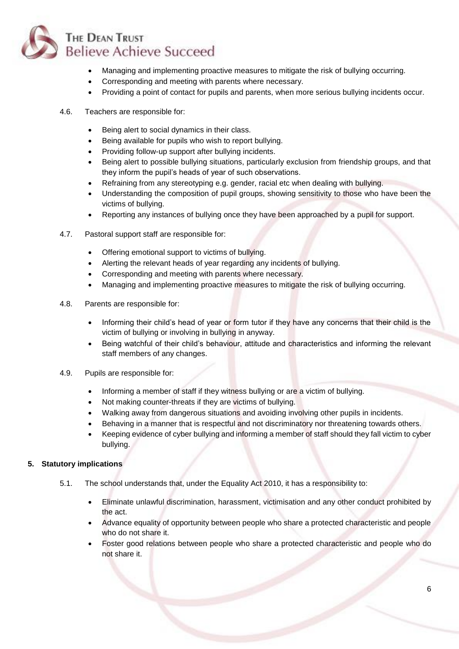

- Managing and implementing proactive measures to mitigate the risk of bullying occurring.
- Corresponding and meeting with parents where necessary.
- Providing a point of contact for pupils and parents, when more serious bullying incidents occur.
- 4.6. Teachers are responsible for:
	- Being alert to social dynamics in their class.
	- Being available for pupils who wish to report bullying.
	- Providing follow-up support after bullying incidents.
	- Being alert to possible bullying situations, particularly exclusion from friendship groups, and that they inform the pupil's heads of year of such observations.
	- Refraining from any stereotyping e.g. gender, racial etc when dealing with bullying.
	- Understanding the composition of pupil groups, showing sensitivity to those who have been the victims of bullying.
	- Reporting any instances of bullying once they have been approached by a pupil for support.
- 4.7. Pastoral support staff are responsible for:
	- Offering emotional support to victims of bullying.
	- Alerting the relevant heads of year regarding any incidents of bullying.
	- Corresponding and meeting with parents where necessary.
	- Managing and implementing proactive measures to mitigate the risk of bullying occurring.
- 4.8. Parents are responsible for:
	- Informing their child's head of year or form tutor if they have any concerns that their child is the victim of bullying or involving in bullying in anyway.
	- Being watchful of their child's behaviour, attitude and characteristics and informing the relevant staff members of any changes.
- 4.9. Pupils are responsible for:
	- Informing a member of staff if they witness bullying or are a victim of bullying.
	- Not making counter-threats if they are victims of bullying.
	- Walking away from dangerous situations and avoiding involving other pupils in incidents.
	- Behaving in a manner that is respectful and not discriminatory nor threatening towards others.
	- Keeping evidence of cyber bullying and informing a member of staff should they fall victim to cyber bullying.

## <span id="page-5-0"></span>**5. Statutory implications**

- 5.1. The school understands that, under the Equality Act 2010, it has a responsibility to:
	- Eliminate unlawful discrimination, harassment, victimisation and any other conduct prohibited by the act.
	- Advance equality of opportunity between people who share a protected characteristic and people who do not share it.
	- Foster good relations between people who share a protected characteristic and people who do not share it.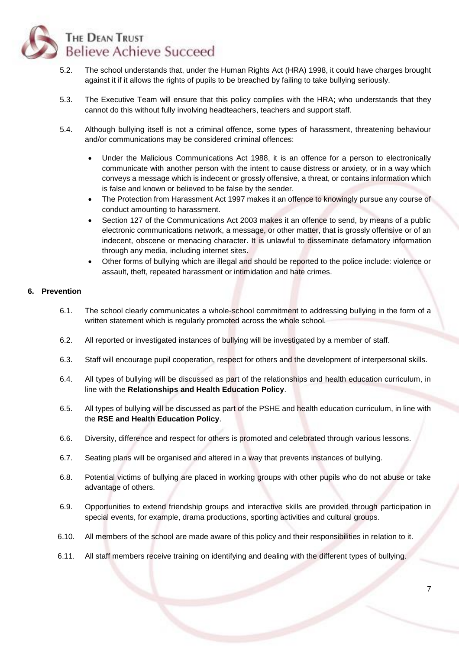

- 5.2. The school understands that, under the Human Rights Act (HRA) 1998, it could have charges brought against it if it allows the rights of pupils to be breached by failing to take bullying seriously.
- 5.3. The Executive Team will ensure that this policy complies with the HRA; who understands that they cannot do this without fully involving headteachers, teachers and support staff.
- 5.4. Although bullying itself is not a criminal offence, some types of harassment, threatening behaviour and/or communications may be considered criminal offences:
	- Under the Malicious Communications Act 1988, it is an offence for a person to electronically communicate with another person with the intent to cause distress or anxiety, or in a way which conveys a message which is indecent or grossly offensive, a threat, or contains information which is false and known or believed to be false by the sender.
	- The Protection from Harassment Act 1997 makes it an offence to knowingly pursue any course of conduct amounting to harassment.
	- Section 127 of the Communications Act 2003 makes it an offence to send, by means of a public electronic communications network, a message, or other matter, that is grossly offensive or of an indecent, obscene or menacing character. It is unlawful to disseminate defamatory information through any media, including internet sites.
	- Other forms of bullying which are illegal and should be reported to the police include: violence or assault, theft, repeated harassment or intimidation and hate crimes.

## <span id="page-6-0"></span>**6. Prevention**

- 6.1. The school clearly communicates a whole-school commitment to addressing bullying in the form of a written statement which is regularly promoted across the whole school.
- 6.2. All reported or investigated instances of bullying will be investigated by a member of staff.
- 6.3. Staff will encourage pupil cooperation, respect for others and the development of interpersonal skills.
- 6.4. All types of bullying will be discussed as part of the relationships and health education curriculum, in line with the **Relationships and Health Education Policy**.
- 6.5. All types of bullying will be discussed as part of the PSHE and health education curriculum, in line with the **RSE and Health Education Policy**.
- 6.6. Diversity, difference and respect for others is promoted and celebrated through various lessons.
- 6.7. Seating plans will be organised and altered in a way that prevents instances of bullying.
- 6.8. Potential victims of bullying are placed in working groups with other pupils who do not abuse or take advantage of others.
- 6.9. Opportunities to extend friendship groups and interactive skills are provided through participation in special events, for example, drama productions, sporting activities and cultural groups.
- 6.10. All members of the school are made aware of this policy and their responsibilities in relation to it.
- 6.11. All staff members receive training on identifying and dealing with the different types of bullying.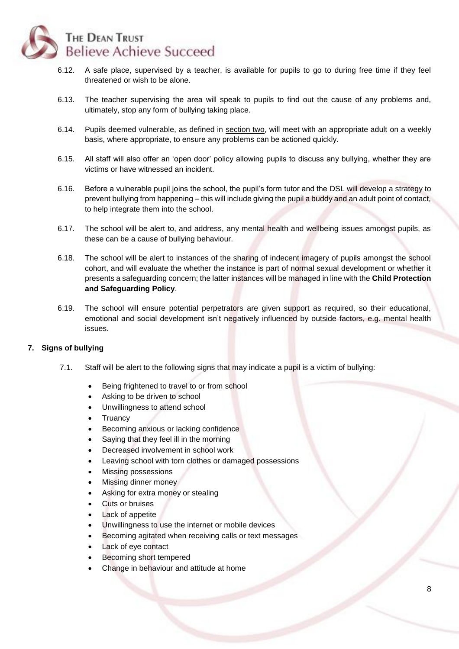

- 6.12. A safe place, supervised by a teacher, is available for pupils to go to during free time if they feel threatened or wish to be alone.
- 6.13. The teacher supervising the area will speak to pupils to find out the cause of any problems and, ultimately, stop any form of bullying taking place.
- 6.14. Pupils deemed vulnerable, as defined in [section two,](file:///S:/TheSchoolBus/Quality%20Assurance/Core%20site%20content/Molly/Updates/Anti-bulling%20Policy%20Pupils/Anti-bullying_Policy_%20Pupils_20180813.docx%23_Definition) will meet with an appropriate adult on a weekly basis, where appropriate, to ensure any problems can be actioned quickly.
- 6.15. All staff will also offer an 'open door' policy allowing pupils to discuss any bullying, whether they are victims or have witnessed an incident.
- 6.16. Before a vulnerable pupil joins the school, the pupil's form tutor and the DSL will develop a strategy to prevent bullying from happening – this will include giving the pupil a buddy and an adult point of contact, to help integrate them into the school.
- 6.17. The school will be alert to, and address, any mental health and wellbeing issues amongst pupils, as these can be a cause of bullying behaviour.
- 6.18. The school will be alert to instances of the sharing of indecent imagery of pupils amongst the school cohort, and will evaluate the whether the instance is part of normal sexual development or whether it presents a safeguarding concern; the latter instances will be managed in line with the **Child Protection and Safeguarding Policy**.
- 6.19. The school will ensure potential perpetrators are given support as required, so their educational, emotional and social development isn't negatively influenced by outside factors, e.g. mental health issues.

## <span id="page-7-0"></span>**7. Signs of bullying**

- 7.1. Staff will be alert to the following signs that may indicate a pupil is a victim of bullying:
	- Being frightened to travel to or from school
	- Asking to be driven to school
	- Unwillingness to attend school
	- **Truancy**
	- Becoming anxious or lacking confidence
	- Saying that they feel ill in the morning
	- Decreased involvement in school work
	- Leaving school with torn clothes or damaged possessions
	- Missing possessions
	- Missing dinner money
	- Asking for extra money or stealing
	- Cuts or bruises
	- Lack of appetite
	- Unwillingness to use the internet or mobile devices
	- Becoming agitated when receiving calls or text messages
	- Lack of eve contact
	- Becoming short tempered
	- Change in behaviour and attitude at home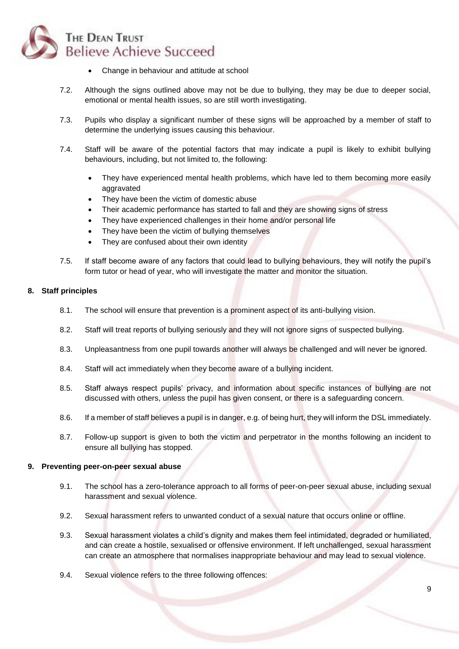

- Change in behaviour and attitude at school
- 7.2. Although the signs outlined above may not be due to bullying, they may be due to deeper social, emotional or mental health issues, so are still worth investigating.
- 7.3. Pupils who display a significant number of these signs will be approached by a member of staff to determine the underlying issues causing this behaviour.
- 7.4. Staff will be aware of the potential factors that may indicate a pupil is likely to exhibit bullying behaviours, including, but not limited to, the following:
	- They have experienced mental health problems, which have led to them becoming more easily aggravated
	- They have been the victim of domestic abuse
	- Their academic performance has started to fall and they are showing signs of stress
	- They have experienced challenges in their home and/or personal life
	- They have been the victim of bullying themselves
	- They are confused about their own identity
- 7.5. If staff become aware of any factors that could lead to bullying behaviours, they will notify the pupil's form tutor or head of year, who will investigate the matter and monitor the situation.

## <span id="page-8-0"></span>**8. Staff principles**

- 8.1. The school will ensure that prevention is a prominent aspect of its anti-bullying vision.
- 8.2. Staff will treat reports of bullying seriously and they will not ignore signs of suspected bullying.
- 8.3. Unpleasantness from one pupil towards another will always be challenged and will never be ignored.
- 8.4. Staff will act immediately when they become aware of a bullying incident.
- 8.5. Staff always respect pupils' privacy, and information about specific instances of bullying are not discussed with others, unless the pupil has given consent, or there is a safeguarding concern.
- 8.6. If a member of staff believes a pupil is in danger, e.g. of being hurt, they will inform the DSL immediately.
- 8.7. Follow-up support is given to both the victim and perpetrator in the months following an incident to ensure all bullying has stopped.

#### <span id="page-8-1"></span>**9. Preventing peer-on-peer sexual abuse**

- 9.1. The school has a zero-tolerance approach to all forms of peer-on-peer sexual abuse, including sexual harassment and sexual violence.
- 9.2. Sexual harassment refers to unwanted conduct of a sexual nature that occurs online or offline.
- 9.3. Sexual harassment violates a child's dignity and makes them feel intimidated, degraded or humiliated, and can create a hostile, sexualised or offensive environment. If left unchallenged, sexual harassment can create an atmosphere that normalises inappropriate behaviour and may lead to sexual violence.
- 9.4. Sexual violence refers to the three following offences: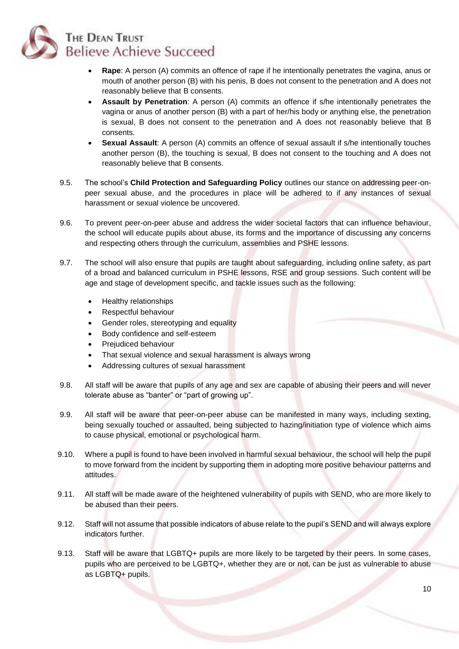

- **Rape**: A person (A) commits an offence of rape if he intentionally penetrates the vagina, anus or mouth of another person (B) with his penis, B does not consent to the penetration and A does not reasonably believe that B consents.
- **Assault by Penetration**: A person (A) commits an offence if s/he intentionally penetrates the vagina or anus of another person (B) with a part of her/his body or anything else, the penetration is sexual, B does not consent to the penetration and A does not reasonably believe that B consents.
- **Sexual Assault**: A person (A) commits an offence of sexual assault if s/he intentionally touches another person (B), the touching is sexual, B does not consent to the touching and A does not reasonably believe that B consents.
- 9.5. The school's **Child Protection and Safeguarding Policy** outlines our stance on addressing peer-onpeer sexual abuse, and the procedures in place will be adhered to if any instances of sexual harassment or sexual violence be uncovered.
- 9.6. To prevent peer-on-peer abuse and address the wider societal factors that can influence behaviour, the school will educate pupils about abuse, its forms and the importance of discussing any concerns and respecting others through the curriculum, assemblies and PSHE lessons.
- 9.7. The school will also ensure that pupils are taught about safeguarding, including online safety, as part of a broad and balanced curriculum in PSHE lessons, RSE and group sessions. Such content will be age and stage of development specific, and tackle issues such as the following:
	- Healthy relationships
	- Respectful behaviour
	- Gender roles, stereotyping and equality
	- Body confidence and self-esteem
	- Prejudiced behaviour
	- That sexual violence and sexual harassment is always wrong
	- Addressing cultures of sexual harassment
- 9.8. All staff will be aware that pupils of any age and sex are capable of abusing their peers and will never tolerate abuse as "banter" or "part of growing up".
- 9.9. All staff will be aware that peer-on-peer abuse can be manifested in many ways, including sexting, being sexually touched or assaulted, being subjected to hazing/initiation type of violence which aims to cause physical, emotional or psychological harm.
- 9.10. Where a pupil is found to have been involved in harmful sexual behaviour, the school will help the pupil to move forward from the incident by supporting them in adopting more positive behaviour patterns and attitudes.
- 9.11. All staff will be made aware of the heightened vulnerability of pupils with SEND, who are more likely to be abused than their peers.
- 9.12. Staff will not assume that possible indicators of abuse relate to the pupil's SEND and will always explore indicators further.
- 9.13. Staff will be aware that LGBTQ+ pupils are more likely to be targeted by their peers. In some cases, pupils who are perceived to be LGBTQ+, whether they are or not, can be just as vulnerable to abuse as LGBTQ+ pupils.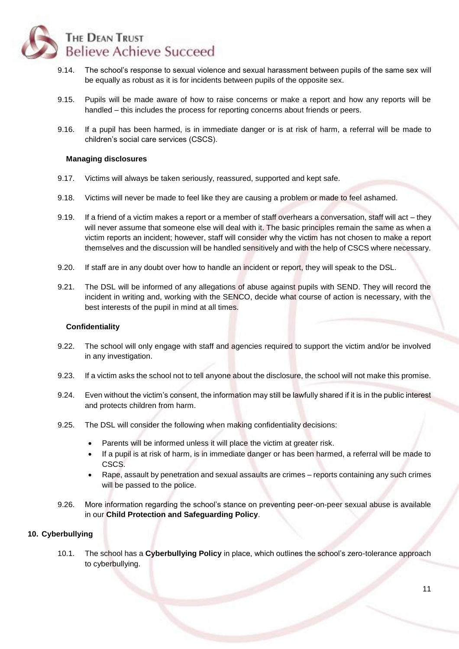

- 9.14. The school's response to sexual violence and sexual harassment between pupils of the same sex will be equally as robust as it is for incidents between pupils of the opposite sex.
- 9.15. Pupils will be made aware of how to raise concerns or make a report and how any reports will be handled – this includes the process for reporting concerns about friends or peers.
- 9.16. If a pupil has been harmed, is in immediate danger or is at risk of harm, a referral will be made to children's social care services (CSCS).

#### **Managing disclosures**

- 9.17. Victims will always be taken seriously, reassured, supported and kept safe.
- 9.18. Victims will never be made to feel like they are causing a problem or made to feel ashamed.
- 9.19. If a friend of a victim makes a report or a member of staff overhears a conversation, staff will act they will never assume that someone else will deal with it. The basic principles remain the same as when a victim reports an incident; however, staff will consider why the victim has not chosen to make a report themselves and the discussion will be handled sensitively and with the help of CSCS where necessary.
- 9.20. If staff are in any doubt over how to handle an incident or report, they will speak to the DSL.
- 9.21. The DSL will be informed of any allegations of abuse against pupils with SEND. They will record the incident in writing and, working with the SENCO, decide what course of action is necessary, with the best interests of the pupil in mind at all times.

#### **Confidentiality**

- 9.22. The school will only engage with staff and agencies required to support the victim and/or be involved in any investigation.
- 9.23. If a victim asks the school not to tell anyone about the disclosure, the school will not make this promise.
- 9.24. Even without the victim's consent, the information may still be lawfully shared if it is in the public interest and protects children from harm.
- 9.25. The DSL will consider the following when making confidentiality decisions:
	- Parents will be informed unless it will place the victim at greater risk.
	- If a pupil is at risk of harm, is in immediate danger or has been harmed, a referral will be made to CSCS.
	- Rape, assault by penetration and sexual assaults are crimes reports containing any such crimes will be passed to the police.
- 9.26. More information regarding the school's stance on preventing peer-on-peer sexual abuse is available in our **Child Protection and Safeguarding Policy**.

## <span id="page-10-0"></span>**10. Cyberbullying**

10.1. The school has a **Cyberbullying Policy** in place, which outlines the school's zero-tolerance approach to cyberbullying.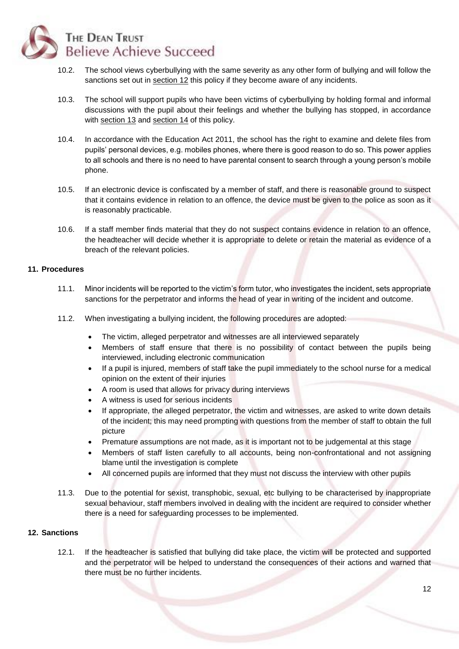

- 10.2. The school views cyberbullying with the same severity as any other form of bullying and will follow the sanctions set out in [section 12](#page-11-1) this policy if they become aware of any incidents.
- 10.3. The school will support pupils who have been victims of cyberbullying by holding formal and informal discussions with the pupil about their feelings and whether the bullying has stopped, in accordance with [section 13](#page-12-0) and [section 14](#page-12-1) of this policy.
- 10.4. In accordance with the Education Act 2011, the school has the right to examine and delete files from pupils' personal devices, e.g. mobiles phones, where there is good reason to do so. This power applies to all schools and there is no need to have parental consent to search through a young person's mobile phone.
- 10.5. If an electronic device is confiscated by a member of staff, and there is reasonable ground to suspect that it contains evidence in relation to an offence, the device must be given to the police as soon as it is reasonably practicable.
- 10.6. If a staff member finds material that they do not suspect contains evidence in relation to an offence, the headteacher will decide whether it is appropriate to delete or retain the material as evidence of a breach of the relevant policies.

#### <span id="page-11-0"></span>**11. Procedures**

- 11.1. Minor incidents will be reported to the victim's form tutor, who investigates the incident, sets appropriate sanctions for the perpetrator and informs the head of year in writing of the incident and outcome.
- 11.2. When investigating a bullying incident, the following procedures are adopted:
	- The victim, alleged perpetrator and witnesses are all interviewed separately
	- Members of staff ensure that there is no possibility of contact between the pupils being interviewed, including electronic communication
	- If a pupil is injured, members of staff take the pupil immediately to the school nurse for a medical opinion on the extent of their injuries
	- A room is used that allows for privacy during interviews
	- A witness is used for serious incidents
	- If appropriate, the alleged perpetrator, the victim and witnesses, are asked to write down details of the incident; this may need prompting with questions from the member of staff to obtain the full picture
	- Premature assumptions are not made, as it is important not to be judgemental at this stage
	- Members of staff listen carefully to all accounts, being non-confrontational and not assigning blame until the investigation is complete
	- All concerned pupils are informed that they must not discuss the interview with other pupils
- 11.3. Due to the potential for sexist, transphobic, sexual, etc bullying to be characterised by inappropriate sexual behaviour, staff members involved in dealing with the incident are required to consider whether there is a need for safeguarding processes to be implemented.

#### <span id="page-11-1"></span>**12. Sanctions**

12.1. If the headteacher is satisfied that bullying did take place, the victim will be protected and supported and the perpetrator will be helped to understand the consequences of their actions and warned that there must be no further incidents.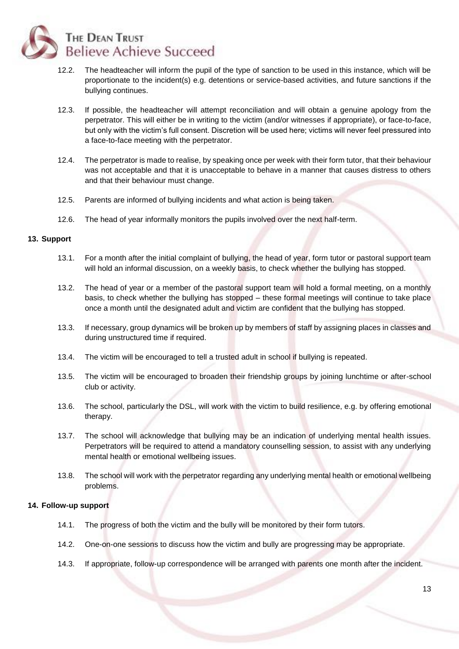

- 12.2. The headteacher will inform the pupil of the type of sanction to be used in this instance, which will be proportionate to the incident(s) e.g. detentions or service-based activities, and future sanctions if the bullying continues.
- 12.3. If possible, the headteacher will attempt reconciliation and will obtain a genuine apology from the perpetrator. This will either be in writing to the victim (and/or witnesses if appropriate), or face-to-face, but only with the victim's full consent. Discretion will be used here; victims will never feel pressured into a face-to-face meeting with the perpetrator.
- 12.4. The perpetrator is made to realise, by speaking once per week with their form tutor, that their behaviour was not acceptable and that it is unacceptable to behave in a manner that causes distress to others and that their behaviour must change.
- 12.5. Parents are informed of bullying incidents and what action is being taken.
- 12.6. The head of year informally monitors the pupils involved over the next half-term.

#### <span id="page-12-0"></span>**13. Support**

- 13.1. For a month after the initial complaint of bullying, the head of year, form tutor or pastoral support team will hold an informal discussion, on a weekly basis, to check whether the bullying has stopped.
- 13.2. The head of year or a member of the pastoral support team will hold a formal meeting, on a monthly basis, to check whether the bullying has stopped – these formal meetings will continue to take place once a month until the designated adult and victim are confident that the bullying has stopped.
- 13.3. If necessary, group dynamics will be broken up by members of staff by assigning places in classes and during unstructured time if required.
- 13.4. The victim will be encouraged to tell a trusted adult in school if bullying is repeated.
- 13.5. The victim will be encouraged to broaden their friendship groups by joining lunchtime or after-school club or activity.
- 13.6. The school, particularly the DSL, will work with the victim to build resilience, e.g. by offering emotional therapy.
- 13.7. The school will acknowledge that bullying may be an indication of underlying mental health issues. Perpetrators will be required to attend a mandatory counselling session, to assist with any underlying mental health or emotional wellbeing issues.
- 13.8. The school will work with the perpetrator regarding any underlying mental health or emotional wellbeing problems.

#### <span id="page-12-1"></span>**14. Follow-up support**

- 14.1. The progress of both the victim and the bully will be monitored by their form tutors.
- 14.2. One-on-one sessions to discuss how the victim and bully are progressing may be appropriate.
- 14.3. If appropriate, follow-up correspondence will be arranged with parents one month after the incident.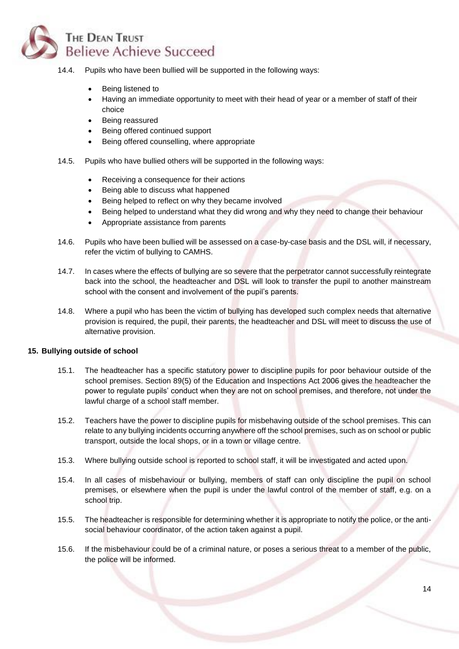# THE DEAN TRUST **Believe Achieve Succeed**

- 14.4. Pupils who have been bullied will be supported in the following ways:
	- Being listened to
	- Having an immediate opportunity to meet with their head of year or a member of staff of their choice
	- Being reassured
	- Being offered continued support
	- Being offered counselling, where appropriate
- 14.5. Pupils who have bullied others will be supported in the following ways:
	- Receiving a consequence for their actions
	- Being able to discuss what happened
	- Being helped to reflect on why they became involved
	- Being helped to understand what they did wrong and why they need to change their behaviour
	- Appropriate assistance from parents
- 14.6. Pupils who have been bullied will be assessed on a case-by-case basis and the DSL will, if necessary, refer the victim of bullying to CAMHS.
- 14.7. In cases where the effects of bullying are so severe that the perpetrator cannot successfully reintegrate back into the school, the headteacher and DSL will look to transfer the pupil to another mainstream school with the consent and involvement of the pupil's parents.
- 14.8. Where a pupil who has been the victim of bullying has developed such complex needs that alternative provision is required, the pupil, their parents, the headteacher and DSL will meet to discuss the use of alternative provision.

#### <span id="page-13-0"></span>**15. Bullying outside of school**

- 15.1. The headteacher has a specific statutory power to discipline pupils for poor behaviour outside of the school premises. Section 89(5) of the Education and Inspections Act 2006 gives the headteacher the power to regulate pupils' conduct when they are not on school premises, and therefore, not under the lawful charge of a school staff member.
- 15.2. Teachers have the power to discipline pupils for misbehaving outside of the school premises. This can relate to any bullying incidents occurring anywhere off the school premises, such as on school or public transport, outside the local shops, or in a town or village centre.
- 15.3. Where bullying outside school is reported to school staff, it will be investigated and acted upon.
- 15.4. In all cases of misbehaviour or bullying, members of staff can only discipline the pupil on school premises, or elsewhere when the pupil is under the lawful control of the member of staff, e.g. on a school trip.
- 15.5. The headteacher is responsible for determining whether it is appropriate to notify the police, or the antisocial behaviour coordinator, of the action taken against a pupil.
- 15.6. If the misbehaviour could be of a criminal nature, or poses a serious threat to a member of the public, the police will be informed.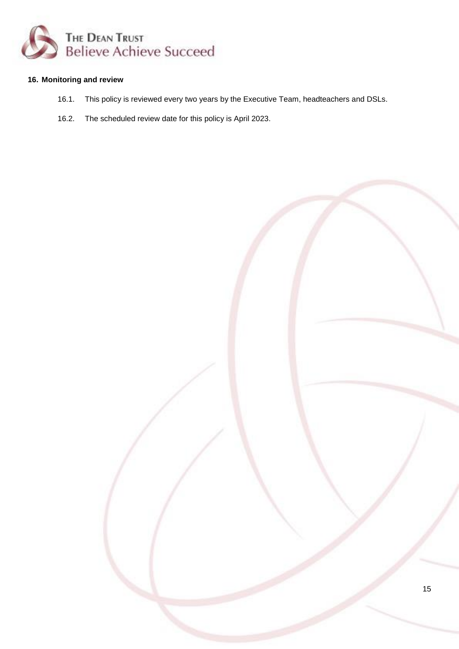

## <span id="page-14-0"></span>**16. Monitoring and review**

- 16.1. This policy is reviewed every two years by the Executive Team, headteachers and DSLs.
- <span id="page-14-1"></span>16.2. The scheduled review date for this policy is April 2023.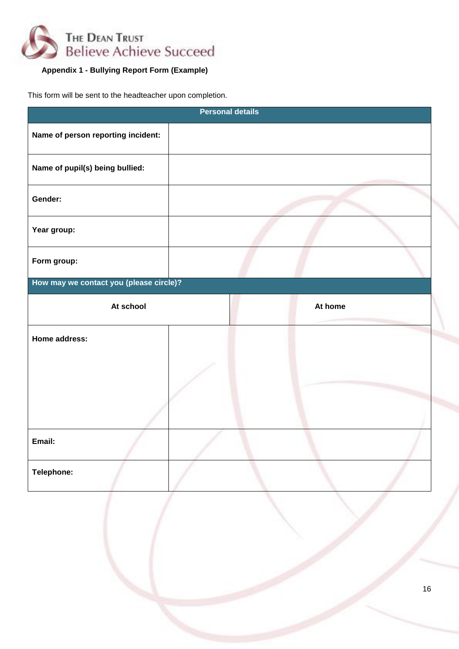

# **Appendix 1 - Bullying Report Form (Example)**

This form will be sent to the headteacher upon completion.

| <b>Personal details</b>                 |  |  |         |        |  |
|-----------------------------------------|--|--|---------|--------|--|
| Name of person reporting incident:      |  |  |         |        |  |
| Name of pupil(s) being bullied:         |  |  |         |        |  |
| Gender:                                 |  |  |         |        |  |
| Year group:                             |  |  |         |        |  |
| Form group:                             |  |  |         |        |  |
| How may we contact you (please circle)? |  |  |         |        |  |
| At school                               |  |  | At home |        |  |
| Home address:                           |  |  |         |        |  |
|                                         |  |  |         |        |  |
|                                         |  |  |         |        |  |
|                                         |  |  |         |        |  |
| Email:                                  |  |  |         |        |  |
| Telephone:                              |  |  |         |        |  |
|                                         |  |  |         |        |  |
|                                         |  |  |         |        |  |
|                                         |  |  |         | $16\,$ |  |
|                                         |  |  |         |        |  |